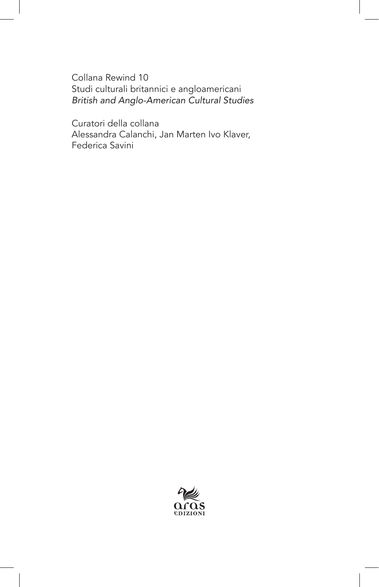Collana Rewind 10 Studi culturali britannici e angloamericani *British and Anglo-American Cultural Studies*

Curatori della collana Alessandra Calanchi, Jan Marten Ivo Klaver, Federica Savini

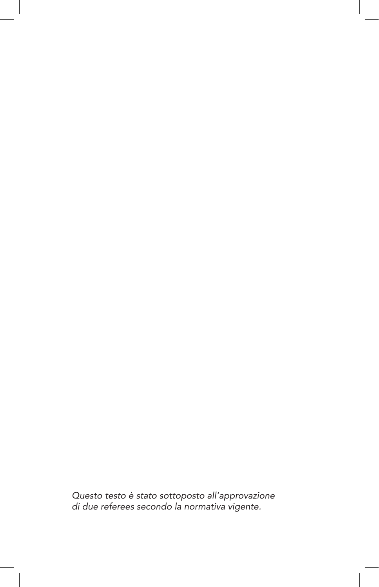*Questo testo è stato sottoposto all'approvazione di due referees secondo la normativa vigente.*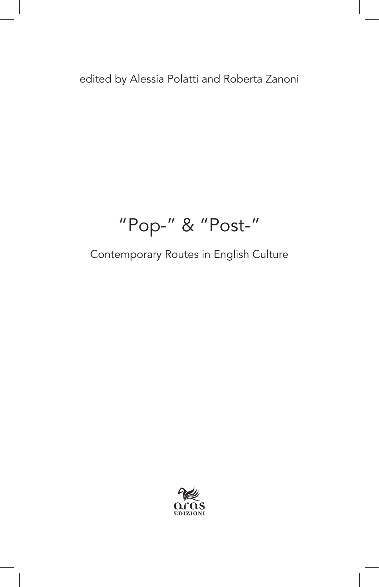edited by Alessia Polatti and Roberta Zanoni

## "Pop-" & "Post-"

Contemporary Routes in English Culture

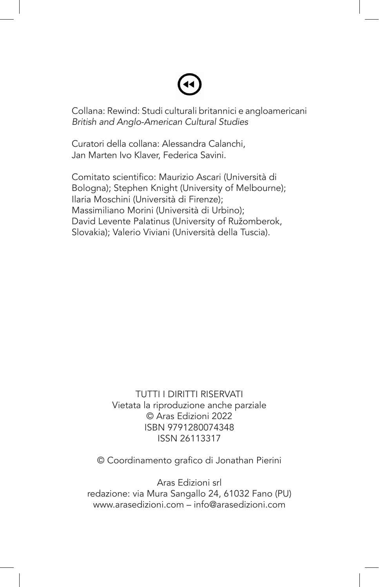Collana: Rewind: Studi culturali britannici e angloamericani *British and Anglo-American Cultural Studies*

Curatori della collana: Alessandra Calanchi, Jan Marten Ivo Klaver, Federica Savini.

Comitato scientifico: Maurizio Ascari (Università di Bologna); Stephen Knight (University of Melbourne); Ilaria Moschini (Università di Firenze); Massimiliano Morini (Università di Urbino); David Levente Palatinus (University of Ružomberok, Slovakia); Valerio Viviani (Università della Tuscia).

> TUTTI I DIRITTI RISERVATI Vietata la riproduzione anche parziale © Aras Edizioni 2022 ISBN 9791280074348 ISSN 26113317

© Coordinamento grafico di Jonathan Pierini

Aras Edizioni srl redazione: via Mura Sangallo 24, 61032 Fano (PU) www.arasedizioni.com – info@arasedizioni.com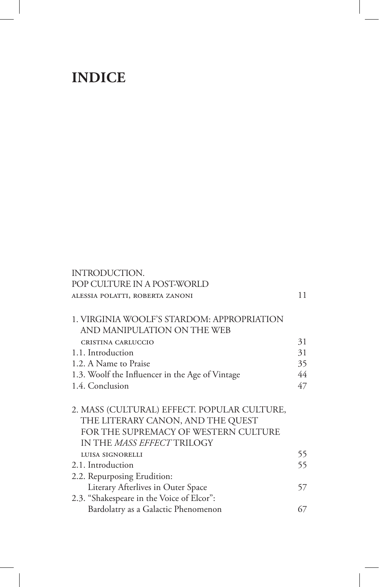## **INDICE**

| INTRODUCTION.                                                                                                                                                 |    |
|---------------------------------------------------------------------------------------------------------------------------------------------------------------|----|
| POP CULTURE IN A POST-WORLD                                                                                                                                   |    |
| ALESSIA POLATTI, ROBERTA ZANONI                                                                                                                               | 11 |
| 1. VIRGINIA WOOLF'S STARDOM: APPROPRIATION<br>AND MANIPULATION ON THE WEB                                                                                     |    |
| CRISTINA CARLUCCIO                                                                                                                                            | 31 |
| 1.1. Introduction                                                                                                                                             | 31 |
| 1.2. A Name to Praise                                                                                                                                         | 35 |
| 1.3. Woolf the Influencer in the Age of Vintage                                                                                                               | 44 |
| 1.4. Conclusion                                                                                                                                               | 47 |
| 2. MASS (CULTURAL) EFFECT. POPULAR CULTURE,<br>THE LITERARY CANON, AND THE QUEST<br>FOR THE SUPREMACY OF WESTERN CULTURE<br>IN THE <i>MASS EFFECT</i> TRILOGY |    |
| LUISA SIGNORELLI                                                                                                                                              | 55 |
| 2.1. Introduction                                                                                                                                             | 55 |
| 2.2. Repurposing Erudition:                                                                                                                                   |    |
| Literary Afterlives in Outer Space                                                                                                                            | 57 |
| 2.3. "Shakespeare in the Voice of Elcor":                                                                                                                     |    |
| Bardolatry as a Galactic Phenomenon                                                                                                                           | 67 |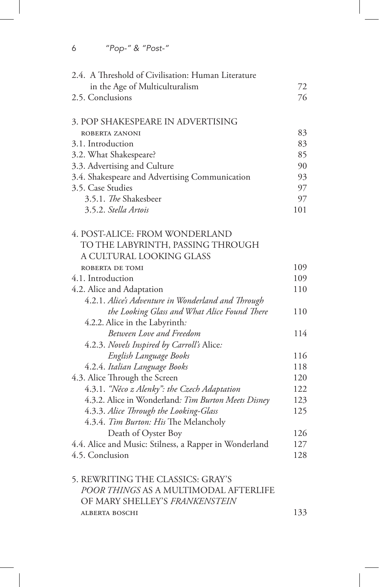6 *"Pop-" & "Post-"*

| 2.4. A Threshold of Civilisation: Human Literature                      |     |
|-------------------------------------------------------------------------|-----|
| in the Age of Multiculturalism                                          | 72  |
| 2.5. Conclusions                                                        | 76  |
| 3. POP SHAKESPEARE IN ADVERTISING                                       |     |
| ROBERTA ZANONI                                                          | 83  |
| 3.1. Introduction                                                       | 83  |
| 3.2. What Shakespeare?                                                  | 85  |
| 3.3. Advertising and Culture                                            | 90  |
| 3.4. Shakespeare and Advertising Communication                          | 93  |
| 3.5. Case Studies                                                       | 97  |
| 3.5.1. The Shakesbeer                                                   | 97  |
| 3.5.2. Stella Artois                                                    | 101 |
| 4. POST-ALICE: FROM WONDERLAND                                          |     |
| TO THE LABYRINTH, PASSING THROUGH                                       |     |
| A CULTURAL LOOKING GLASS                                                |     |
| ROBERTA DE TOMI                                                         | 109 |
| 4.1. Introduction                                                       | 109 |
| 4.2. Alice and Adaptation                                               | 110 |
| 4.2.1. Alice's Adventure in Wonderland and Through                      |     |
| the Looking Glass and What Alice Found There                            | 110 |
| 4.2.2. Alice in the Labyrinth:                                          |     |
| <b>Between Love and Freedom</b>                                         | 114 |
| 4.2.3. Novels Inspired by Carroll's Alice:                              |     |
| English Language Books                                                  | 116 |
| 4.2.4. Italian Language Books                                           | 118 |
| 4.3. Alice Through the Screen                                           | 120 |
| 4.3.1. "Něco z Alenky": the Czech Adaptation                            | 122 |
| 4.3.2. Alice in Wonderland: Tim Burton Meets Disney                     | 123 |
| 4.3.3. Alice Through the Looking-Glass                                  | 125 |
| 4.3.4. Tim Burton: His The Melancholy                                   |     |
| Death of Oyster Boy                                                     | 126 |
| 4.4. Alice and Music: Stilness, a Rapper in Wonderland                  | 127 |
| 4.5. Conclusion                                                         | 128 |
| 5. REWRITING THE CLASSICS: GRAY'S                                       |     |
| POOR THINGS AS A MULTIMODAL AFTERLIFE<br>OF MARY SHELLEY'S FRANKENSTEIN |     |
| <b>ALBERTA BOSCHI</b>                                                   | 133 |
|                                                                         |     |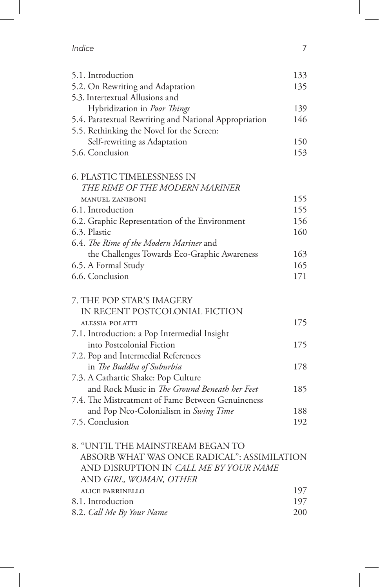| Indice |  |  |
|--------|--|--|
|        |  |  |

| 5.1. Introduction                                                   | 133 |
|---------------------------------------------------------------------|-----|
| 5.2. On Rewriting and Adaptation<br>5.3. Intertextual Allusions and | 135 |
| Hybridization in <i>Poor Things</i>                                 | 139 |
|                                                                     | 146 |
| 5.4. Paratextual Rewriting and National Appropriation               |     |
| 5.5. Rethinking the Novel for the Screen:                           |     |
| Self-rewriting as Adaptation<br>5.6. Conclusion                     | 150 |
|                                                                     | 153 |
| <b>6. PLASTIC TIMELESSNESS IN</b>                                   |     |
| THE RIME OF THE MODERN MARINER                                      |     |
| <b>MANUEL ZANIBONI</b>                                              | 155 |
| 6.1. Introduction                                                   | 155 |
| 6.2. Graphic Representation of the Environment                      | 156 |
| 6.3. Plastic                                                        | 160 |
| 6.4. The Rime of the Modern Mariner and                             |     |
| the Challenges Towards Eco-Graphic Awareness                        | 163 |
| 6.5. A Formal Study                                                 | 165 |
| 6.6. Conclusion                                                     | 171 |
|                                                                     |     |
| 7. THE POP STAR'S IMAGERY                                           |     |
| IN RECENT POSTCOLONIAL FICTION                                      |     |
| <b>ALESSIA POLATTI</b>                                              | 175 |
| 7.1. Introduction: a Pop Intermedial Insight                        |     |
| into Postcolonial Fiction                                           | 175 |
| 7.2. Pop and Intermedial References                                 |     |
| in The Buddha of Suburbia                                           | 178 |
| 7.3. A Cathartic Shake: Pop Culture                                 |     |
| and Rock Music in The Ground Beneath her Feet                       | 185 |
| 7.4. The Mistreatment of Fame Between Genuineness                   |     |
| and Pop Neo-Colonialism in Swing Time                               | 188 |
| 7.5. Conclusion                                                     | 192 |
|                                                                     |     |
| 8. "UNTIL THE MAINSTREAM BEGAN TO                                   |     |
| ABSORB WHAT WAS ONCE RADICAL": ASSIMILATION                         |     |
| AND DISRUPTION IN CALL ME BY YOUR NAME                              |     |
| AND GIRL, WOMAN, OTHER                                              |     |
| <b>ALICE PARRINELLO</b>                                             | 197 |
| 8.1. Introduction                                                   | 197 |

8.2. *Call Me By Your Name* 200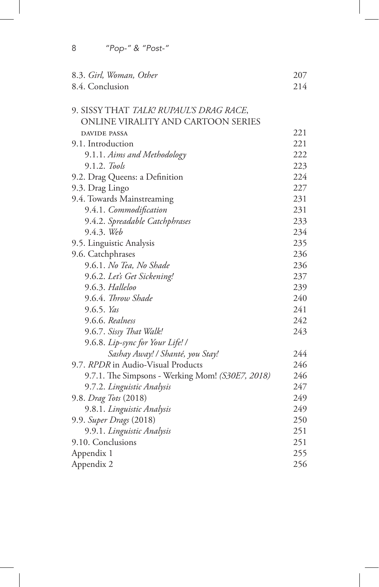| 8.4. Conclusion<br>9. SISSY THAT TALK! RUPAUL'S DRAG RACE,<br>ONLINE VIRALITY AND CARTOON SERIES<br><b>DAVIDE PASSA</b><br>9.1. Introduction<br>9.1.1. Aims and Methodology<br>9.1.2. Tools<br>9.2. Drag Queens: a Definition<br>9.3. Drag Lingo<br>231<br>9.4. Towards Mainstreaming<br>231<br>9.4.1. Commodification<br>233<br>9.4.2. Spreadable Catchphrases<br>9.4.3. Web<br>234<br>235<br>9.5. Linguistic Analysis<br>9.6. Catchphrases<br>236<br>9.6.1. No Tea, No Shade<br>236<br>237<br>9.6.2. Let's Get Sickening!<br>9.6.3. Halleloo<br>9.6.4. Throw Shade<br>9.6.5. Yas<br>242<br>9.6.6. Realness<br>9.6.7. Sissy That Walk!<br>9.6.8. Lip-sync for Your Life! /<br>Sashay Away! / Shanté, you Stay! | 8.3. Girl, Woman, Other            | 207 |
|-----------------------------------------------------------------------------------------------------------------------------------------------------------------------------------------------------------------------------------------------------------------------------------------------------------------------------------------------------------------------------------------------------------------------------------------------------------------------------------------------------------------------------------------------------------------------------------------------------------------------------------------------------------------------------------------------------------------|------------------------------------|-----|
|                                                                                                                                                                                                                                                                                                                                                                                                                                                                                                                                                                                                                                                                                                                 |                                    | 214 |
|                                                                                                                                                                                                                                                                                                                                                                                                                                                                                                                                                                                                                                                                                                                 |                                    |     |
|                                                                                                                                                                                                                                                                                                                                                                                                                                                                                                                                                                                                                                                                                                                 |                                    |     |
|                                                                                                                                                                                                                                                                                                                                                                                                                                                                                                                                                                                                                                                                                                                 |                                    |     |
|                                                                                                                                                                                                                                                                                                                                                                                                                                                                                                                                                                                                                                                                                                                 |                                    | 221 |
|                                                                                                                                                                                                                                                                                                                                                                                                                                                                                                                                                                                                                                                                                                                 |                                    | 221 |
|                                                                                                                                                                                                                                                                                                                                                                                                                                                                                                                                                                                                                                                                                                                 |                                    | 222 |
|                                                                                                                                                                                                                                                                                                                                                                                                                                                                                                                                                                                                                                                                                                                 |                                    | 223 |
|                                                                                                                                                                                                                                                                                                                                                                                                                                                                                                                                                                                                                                                                                                                 |                                    | 224 |
|                                                                                                                                                                                                                                                                                                                                                                                                                                                                                                                                                                                                                                                                                                                 |                                    | 227 |
|                                                                                                                                                                                                                                                                                                                                                                                                                                                                                                                                                                                                                                                                                                                 |                                    |     |
|                                                                                                                                                                                                                                                                                                                                                                                                                                                                                                                                                                                                                                                                                                                 |                                    |     |
|                                                                                                                                                                                                                                                                                                                                                                                                                                                                                                                                                                                                                                                                                                                 |                                    |     |
|                                                                                                                                                                                                                                                                                                                                                                                                                                                                                                                                                                                                                                                                                                                 |                                    |     |
|                                                                                                                                                                                                                                                                                                                                                                                                                                                                                                                                                                                                                                                                                                                 |                                    |     |
|                                                                                                                                                                                                                                                                                                                                                                                                                                                                                                                                                                                                                                                                                                                 |                                    |     |
|                                                                                                                                                                                                                                                                                                                                                                                                                                                                                                                                                                                                                                                                                                                 |                                    |     |
|                                                                                                                                                                                                                                                                                                                                                                                                                                                                                                                                                                                                                                                                                                                 |                                    |     |
|                                                                                                                                                                                                                                                                                                                                                                                                                                                                                                                                                                                                                                                                                                                 |                                    | 239 |
|                                                                                                                                                                                                                                                                                                                                                                                                                                                                                                                                                                                                                                                                                                                 |                                    | 240 |
|                                                                                                                                                                                                                                                                                                                                                                                                                                                                                                                                                                                                                                                                                                                 |                                    | 241 |
|                                                                                                                                                                                                                                                                                                                                                                                                                                                                                                                                                                                                                                                                                                                 |                                    |     |
|                                                                                                                                                                                                                                                                                                                                                                                                                                                                                                                                                                                                                                                                                                                 |                                    | 243 |
|                                                                                                                                                                                                                                                                                                                                                                                                                                                                                                                                                                                                                                                                                                                 |                                    |     |
|                                                                                                                                                                                                                                                                                                                                                                                                                                                                                                                                                                                                                                                                                                                 |                                    | 244 |
|                                                                                                                                                                                                                                                                                                                                                                                                                                                                                                                                                                                                                                                                                                                 | 9.7. RPDR in Audio-Visual Products | 246 |
| 9.7.1. The Simpsons - Werking Mom! (S30E7, 2018)                                                                                                                                                                                                                                                                                                                                                                                                                                                                                                                                                                                                                                                                |                                    | 246 |
| 9.7.2. Linguistic Analysis                                                                                                                                                                                                                                                                                                                                                                                                                                                                                                                                                                                                                                                                                      |                                    | 247 |
| 9.8. Drag Tots (2018)                                                                                                                                                                                                                                                                                                                                                                                                                                                                                                                                                                                                                                                                                           |                                    | 249 |
| 9.8.1. Linguistic Analysis                                                                                                                                                                                                                                                                                                                                                                                                                                                                                                                                                                                                                                                                                      |                                    | 249 |
| 9.9. Super Drags (2018)                                                                                                                                                                                                                                                                                                                                                                                                                                                                                                                                                                                                                                                                                         |                                    | 250 |
| 9.9.1. Linguistic Analysis                                                                                                                                                                                                                                                                                                                                                                                                                                                                                                                                                                                                                                                                                      |                                    | 251 |
| 9.10. Conclusions                                                                                                                                                                                                                                                                                                                                                                                                                                                                                                                                                                                                                                                                                               |                                    | 251 |
| Appendix 1                                                                                                                                                                                                                                                                                                                                                                                                                                                                                                                                                                                                                                                                                                      |                                    | 255 |
| Appendix 2                                                                                                                                                                                                                                                                                                                                                                                                                                                                                                                                                                                                                                                                                                      |                                    | 256 |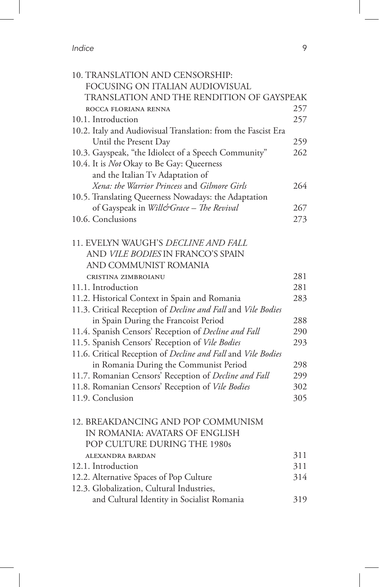*Indice* 9

I

| 10. TRANSLATION AND CENSORSHIP:                               |            |
|---------------------------------------------------------------|------------|
| FOCUSING ON ITALIAN AUDIOVISUAL                               |            |
| TRANSLATION AND THE RENDITION OF GAYSPEAK                     |            |
| ROCCA FLORIANA RENNA                                          | 257        |
| 10.1. Introduction                                            | 257        |
| 10.2. Italy and Audiovisual Translation: from the Fascist Era |            |
| Until the Present Day                                         | 259        |
| 10.3. Gayspeak, "the Idiolect of a Speech Community"          | 262        |
| 10.4. It is Not Okay to Be Gay: Queerness                     |            |
| and the Italian Tv Adaptation of                              |            |
| Xena: the Warrior Princess and Gilmore Girls                  | 264        |
| 10.5. Translating Queerness Nowadays: the Adaptation          |            |
| of Gayspeak in Will&Grace - The Revival                       | 267        |
| 10.6. Conclusions                                             | 273        |
|                                                               |            |
| 11. EVELYN WAUGH'S DECLINE AND FALL                           |            |
| AND VILE BODIES IN FRANCO'S SPAIN                             |            |
| AND COMMUNIST ROMANIA                                         |            |
| CRISTINA ZIMBROIANU                                           | 281        |
| 11.1. Introduction                                            | 281        |
| 11.2. Historical Context in Spain and Romania                 | 283        |
| 11.3. Critical Reception of Decline and Fall and Vile Bodies  |            |
| in Spain During the Francoist Period                          | 288        |
| 11.4. Spanish Censors' Reception of Decline and Fall          | 290        |
| 11.5. Spanish Censors' Reception of Vile Bodies               | 293        |
| 11.6. Critical Reception of Decline and Fall and Vile Bodies  |            |
| in Romania During the Communist Period                        | 298        |
| 11.7. Romanian Censors' Reception of Decline and Fall         | 299        |
| 11.8. Romanian Censors' Reception of Vile Bodies              | 302        |
| 11.9. Conclusion                                              | 305        |
|                                                               |            |
| 12. BREAKDANCING AND POP COMMUNISM                            |            |
| IN ROMANIA: AVATARS OF ENGLISH                                |            |
| POP CULTURE DURING THE 1980s                                  |            |
| ALEXANDRA BARDAN                                              | 311        |
| 12.1. Introduction                                            | 311<br>314 |
| 12.2. Alternative Spaces of Pop Culture                       |            |
| 12.3. Globalization, Cultural Industries,                     |            |
| and Cultural Identity in Socialist Romania                    | 319        |